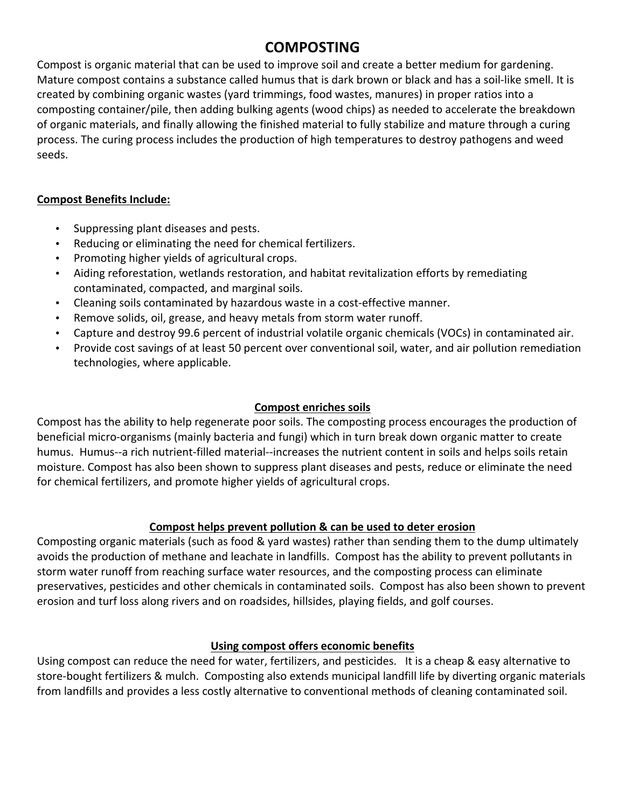# **COMPOSTING**

Compost is organic material that can be used to improve soil and create a better medium for gardening. Mature compost contains a substance called humus that is dark brown or black and has a soil-like smell. It is created by combining organic wastes (yard trimmings, food wastes, manures) in proper ratios into a composting container/pile, then adding bulking agents (wood chips) as needed to accelerate the breakdown of organic materials, and finally allowing the finished material to fully stabilize and mature through a curing process. The curing process includes the production of high temperatures to destroy pathogens and weed seeds.

## **Compost Benefits Include:**

- Suppressing plant diseases and pests.
- Reducing or eliminating the need for chemical fertilizers.
- Promoting higher yields of agricultural crops.
- Aiding reforestation, wetlands restoration, and habitat revitalization efforts by remediating contaminated, compacted, and marginal soils.
- Cleaning soils contaminated by hazardous waste in a cost-effective manner.
- Remove solids, oil, grease, and heavy metals from storm water runoff.
- Capture and destroy 99.6 percent of industrial volatile organic chemicals (VOCs) in contaminated air.
- Provide cost savings of at least 50 percent over conventional soil, water, and air pollution remediation technologies, where applicable.

# **Compost enriches soils**

Compost has the ability to help regenerate poor soils. The composting process encourages the production of beneficial micro-organisms (mainly bacteria and fungi) which in turn break down organic matter to create humus. Humus--a rich nutrient-filled material--increases the nutrient content in soils and helps soils retain moisture. Compost has also been shown to suppress plant diseases and pests, reduce or eliminate the need for chemical fertilizers, and promote higher yields of agricultural crops.

## **Compost helps prevent pollution & can be used to deter erosion**

Composting organic materials (such as food & yard wastes) rather than sending them to the dump ultimately avoids the production of methane and leachate in landfills. Compost has the ability to prevent pollutants in storm water runoff from reaching surface water resources, and the composting process can eliminate preservatives, pesticides and other chemicals in contaminated soils. Compost has also been shown to prevent erosion and turf loss along rivers and on roadsides, hillsides, playing fields, and golf courses.

## Using compost offers economic benefits

Using compost can reduce the need for water, fertilizers, and pesticides. It is a cheap & easy alternative to store-bought fertilizers & mulch. Composting also extends municipal landfill life by diverting organic materials from landfills and provides a less costly alternative to conventional methods of cleaning contaminated soil.